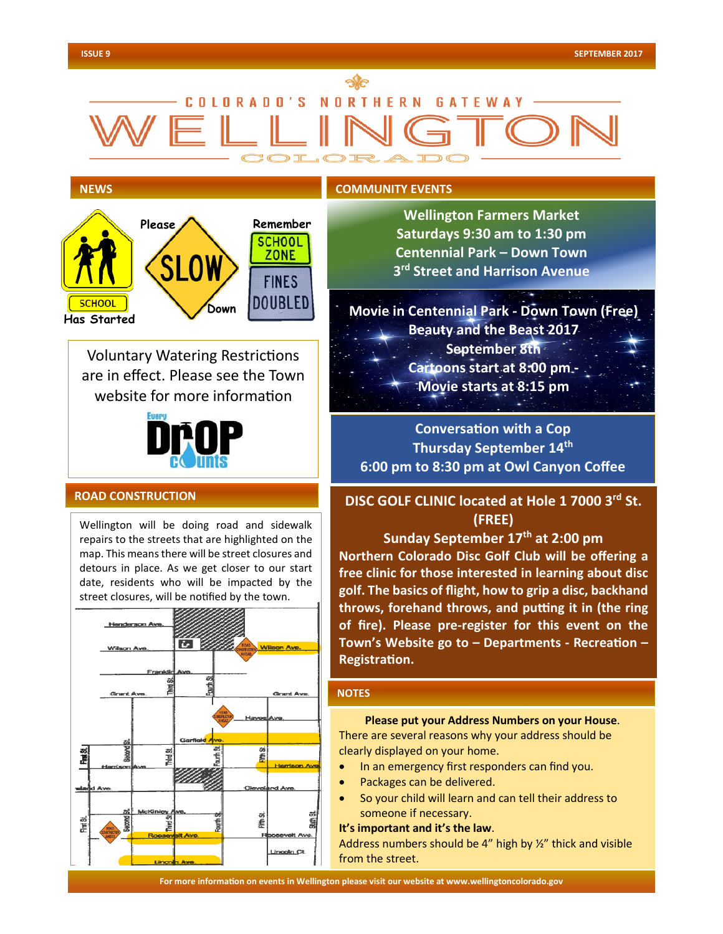# COLORADO'S NORTHERN GATEWAY

#### **NEWS**

l

## **COMMUNITY EVENTS**



Voluntary Watering Restrictions are in effect. Please see the Town website for more information



## **ROAD CONSTRUCTION**

Wellington will be doing road and sidewalk repairs to the streets that are highlighted on the map. This means there will be street closures and detours in place. As we get closer to our start date, residents who will be impacted by the street closures, will be notified by the town.



**Wellington Farmers Market Saturdays 9:30 am to 1:30 pm Centennial Park – Down Town 3rd Street and Harrison Avenue**

**Movie in Centennial Park - Down Town (Free) Beauty and the Beast 2017 September 8th Cartoons start at 8:00 pm - Movie starts at 8:15 pm**

**Conversation with a Cop Thursday September 14th 6:00 pm to 8:30 pm at Owl Canyon Coffee**

**DISC GOLF CLINIC located at Hole 1 7000 3rd St. (FREE)** 

**Sunday September 17th at 2:00 pm**

**Northern Colorado Disc Golf Club will be offering a free clinic for those interested in learning about disc golf. The basics of flight, how to grip a disc, backhand throws, forehand throws, and putting it in (the ring of fire). Please pre-register for this event on the Town's Website go to – Departments - Recreation – Registration.**

#### **NOTES**

**Please put your Address Numbers on your House**. There are several reasons why your address should be clearly displayed on your home.

- In an emergency first responders can find you.
- Packages can be delivered.
- So your child will learn and can tell their address to someone if necessary.

#### **It's important and it's the law**.

Address numbers should be 4" high by 1/2" thick and visible from the street.

**For more information on events in Wellington please visit our website at www.wellingtoncolorado.gov For more information on events in Wellington please visit our website at www.wellingtoncolorado.gov**